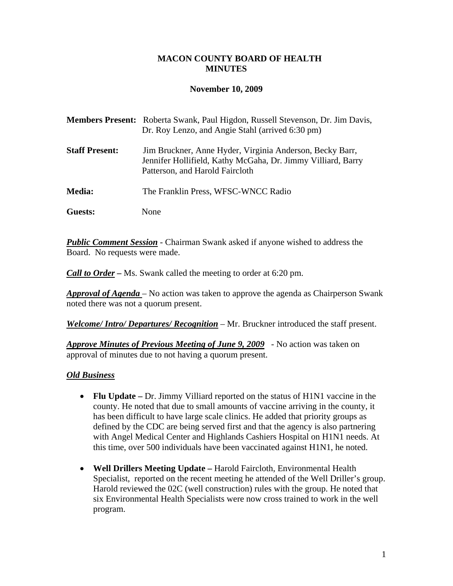## **MACON COUNTY BOARD OF HEALTH MINUTES**

#### **November 10, 2009**

|                       | <b>Members Present:</b> Roberta Swank, Paul Higdon, Russell Stevenson, Dr. Jim Davis,<br>Dr. Roy Lenzo, and Angie Stahl (arrived 6:30 pm)                   |
|-----------------------|-------------------------------------------------------------------------------------------------------------------------------------------------------------|
| <b>Staff Present:</b> | Jim Bruckner, Anne Hyder, Virginia Anderson, Becky Barr,<br>Jennifer Hollifield, Kathy McGaha, Dr. Jimmy Villiard, Barry<br>Patterson, and Harold Faircloth |
| <b>Media:</b>         | The Franklin Press, WFSC-WNCC Radio                                                                                                                         |
| Guests:               | None                                                                                                                                                        |

*Public Comment Session* - Chairman Swank asked if anyone wished to address the Board. No requests were made.

*Call to Order –* Ms. Swank called the meeting to order at 6:20 pm.

*Approval of Agenda* – No action was taken to approve the agenda as Chairperson Swank noted there was not a quorum present.

*Welcome/ Intro/ Departures/ Recognition* – Mr. Bruckner introduced the staff present.

*Approve Minutes of Previous Meeting of June 9, 2009* - No action was taken on approval of minutes due to not having a quorum present.

#### *Old Business*

- **Flu Update** Dr. Jimmy Villiard reported on the status of H1N1 vaccine in the county. He noted that due to small amounts of vaccine arriving in the county, it has been difficult to have large scale clinics. He added that priority groups as defined by the CDC are being served first and that the agency is also partnering with Angel Medical Center and Highlands Cashiers Hospital on H1N1 needs. At this time, over 500 individuals have been vaccinated against H1N1, he noted.
- **Well Drillers Meeting Update** Harold Faircloth, Environmental Health Specialist, reported on the recent meeting he attended of the Well Driller's group. Harold reviewed the 02C (well construction) rules with the group. He noted that six Environmental Health Specialists were now cross trained to work in the well program.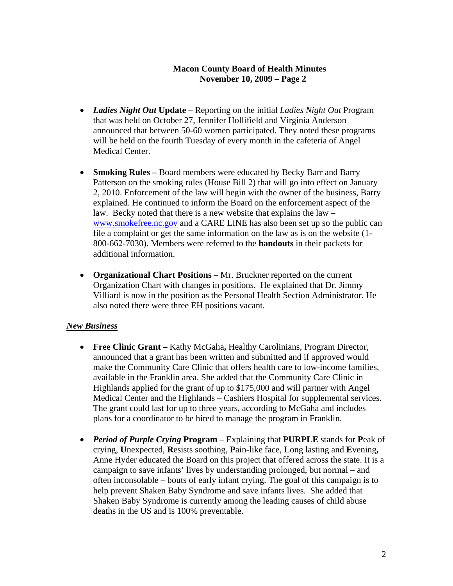# **Macon County Board of Health Minutes November 10, 2009 – Page 2**

- *Ladies Night Out* **Update** Reporting on the initial *Ladies Night Out* Program that was held on October 27, Jennifer Hollifield and Virginia Anderson announced that between 50-60 women participated. They noted these programs will be held on the fourth Tuesday of every month in the cafeteria of Angel Medical Center.
- **Smoking Rules** Board members were educated by Becky Barr and Barry Patterson on the smoking rules (House Bill 2) that will go into effect on January 2, 2010. Enforcement of the law will begin with the owner of the business, Barry explained. He continued to inform the Board on the enforcement aspect of the law. Becky noted that there is a new website that explains the law – [www.smokefree.nc.gov](http://www.smokefree.nc.gov/) and a CARE LINE has also been set up so the public can file a complaint or get the same information on the law as is on the website (1- 800-662-7030). Members were referred to the **handouts** in their packets for additional information.
- **Organizational Chart Positions** Mr. Bruckner reported on the current Organization Chart with changes in positions. He explained that Dr. Jimmy Villiard is now in the position as the Personal Health Section Administrator. He also noted there were three EH positions vacant.

# *New Business*

- **Free Clinic Grant** Kathy McGaha**,** Healthy Carolinians, Program Director, announced that a grant has been written and submitted and if approved would make the Community Care Clinic that offers health care to low-income families, available in the Franklin area. She added that the Community Care Clinic in Highlands applied for the grant of up to \$175,000 and will partner with Angel Medical Center and the Highlands – Cashiers Hospital for supplemental services. The grant could last for up to three years, according to McGaha and includes plans for a coordinator to be hired to manage the program in Franklin.
- *Period of Purple Crying* **Program**  Explaining that **PURPLE** stands for **P**eak of crying, **U**nexpected, **R**esists soothing, **P**ain-like face, **L**ong lasting and **E**vening**,**  Anne Hyder educated the Board on this project that offered across the state. It is a campaign to save infants' lives by understanding prolonged, but normal – and often inconsolable – bouts of early infant crying. The goal of this campaign is to help prevent Shaken Baby Syndrome and save infants lives. She added that Shaken Baby Syndrome is currently among the leading causes of child abuse deaths in the US and is 100% preventable.